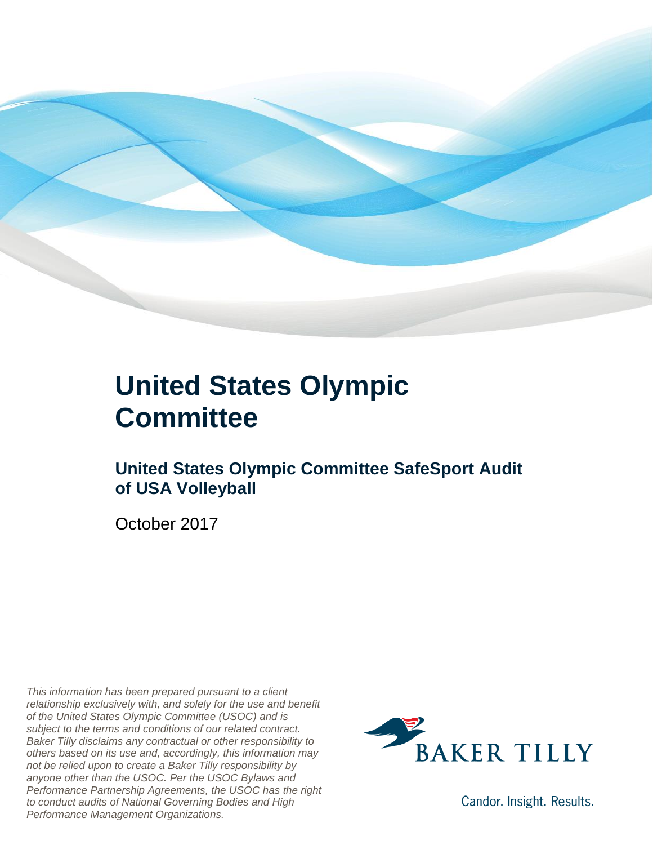

### **United States Olympic Committee**

### **United States Olympic Committee SafeSport Audit of USA Volleyball**

October 2017

*This information has been prepared pursuant to a client relationship exclusively with, and solely for the use and benefit of the United States Olympic Committee (USOC) and is subject to the terms and conditions of our related contract. Baker Tilly disclaims any contractual or other responsibility to others based on its use and, accordingly, this information may not be relied upon to create a Baker Tilly responsibility by anyone other than the USOC. Per the USOC Bylaws and Performance Partnership Agreements, the USOC has the right to conduct audits of National Governing Bodies and High Performance Management Organizations.*



Candor. Insight. Results.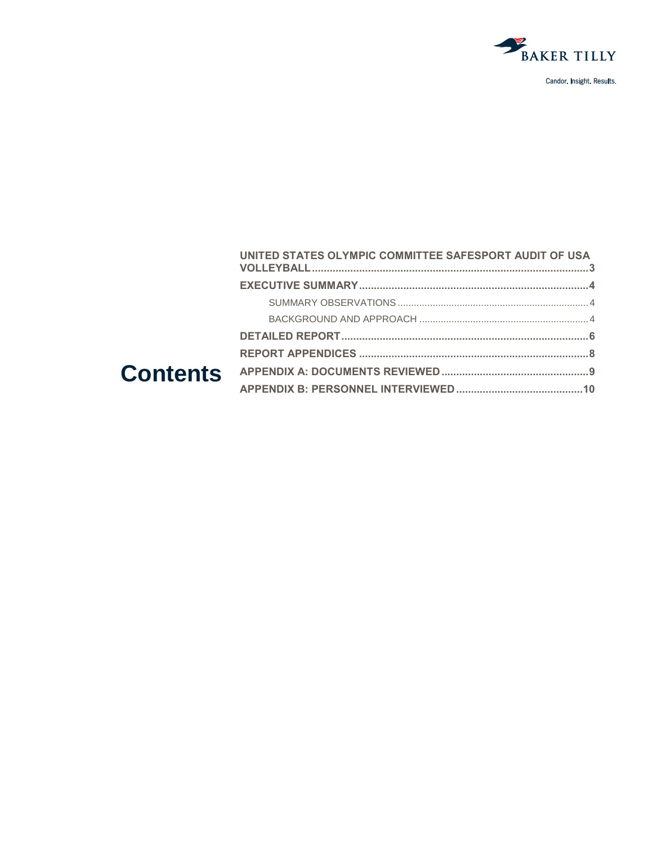

| UNITED STATES OLYMPIC COMMITTEE SAFESPORT AUDIT OF USA |  |
|--------------------------------------------------------|--|
|                                                        |  |
|                                                        |  |
|                                                        |  |
|                                                        |  |
|                                                        |  |
|                                                        |  |
|                                                        |  |
|                                                        |  |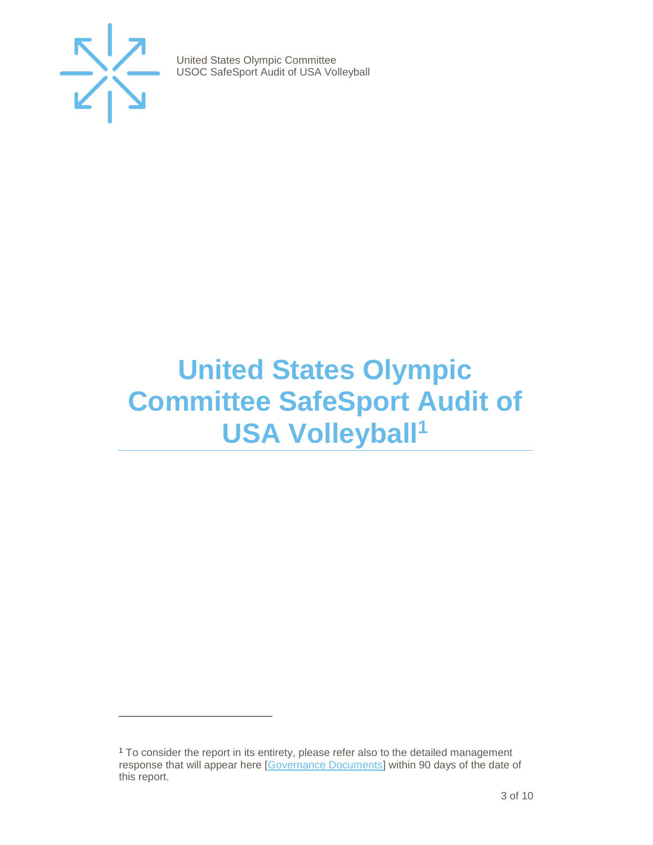

 $\overline{a}$ 

United States Olympic Committee USOC SafeSport Audit of USA Volleyball

## <span id="page-2-0"></span>**United States Olympic Committee SafeSport Audit of USA Volleyball<sup>1</sup>**

<sup>&</sup>lt;sup>1</sup> To consider the report in its entirety, please refer also to the detailed management response that will appear here [\[Governance Documents\]](https://www.teamusa.org/Footer/Legal/Governance-Documents) within 90 days of the date of this report.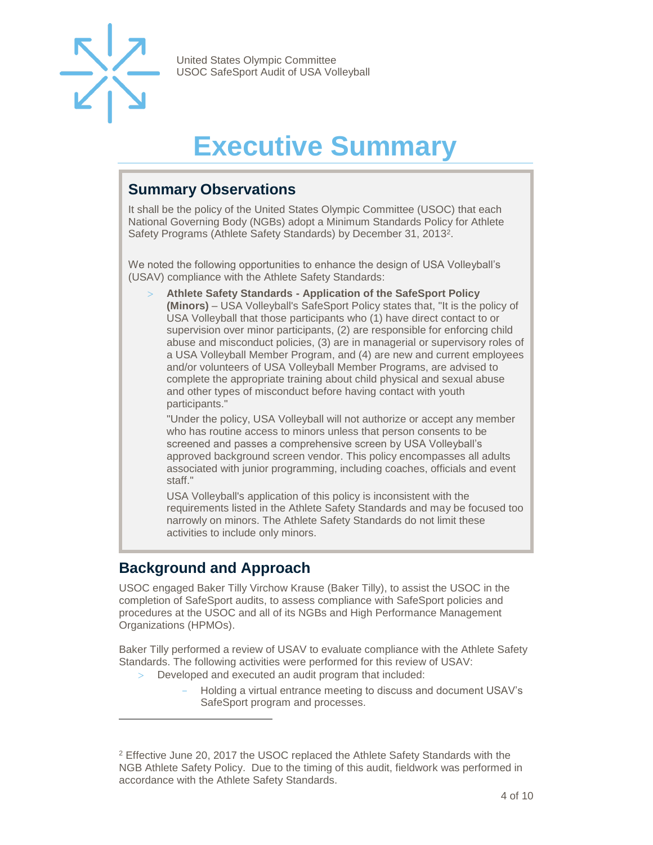

## **Executive Summary**

#### <span id="page-3-1"></span><span id="page-3-0"></span>**Summary Observations**

It shall be the policy of the United States Olympic Committee (USOC) that each National Governing Body (NGBs) adopt a Minimum Standards Policy for Athlete Safety Programs (Athlete Safety Standards) by December 31, 2013<sup>2</sup>.

We noted the following opportunities to enhance the design of USA Volleyball's (USAV) compliance with the Athlete Safety Standards:

 **Athlete Safety Standards - Application of the SafeSport Policy (Minors)** – USA Volleyball's SafeSport Policy states that, "It is the policy of USA Volleyball that those participants who (1) have direct contact to or supervision over minor participants, (2) are responsible for enforcing child abuse and misconduct policies, (3) are in managerial or supervisory roles of a USA Volleyball Member Program, and (4) are new and current employees and/or volunteers of USA Volleyball Member Programs, are advised to complete the appropriate training about child physical and sexual abuse and other types of misconduct before having contact with youth participants."

"Under the policy, USA Volleyball will not authorize or accept any member who has routine access to minors unless that person consents to be screened and passes a comprehensive screen by USA Volleyball's approved background screen vendor. This policy encompasses all adults associated with junior programming, including coaches, officials and event staff."

USA Volleyball's application of this policy is inconsistent with the requirements listed in the Athlete Safety Standards and may be focused too narrowly on minors. The Athlete Safety Standards do not limit these activities to include only minors.

#### <span id="page-3-2"></span>**Background and Approach**

 $\overline{a}$ 

USOC engaged Baker Tilly Virchow Krause (Baker Tilly), to assist the USOC in the completion of SafeSport audits, to assess compliance with SafeSport policies and procedures at the USOC and all of its NGBs and High Performance Management Organizations (HPMOs).

Baker Tilly performed a review of USAV to evaluate compliance with the Athlete Safety Standards. The following activities were performed for this review of USAV:

- Developed and executed an audit program that included:
	- Holding a virtual entrance meeting to discuss and document USAV's SafeSport program and processes.

<sup>2</sup> Effective June 20, 2017 the USOC replaced the Athlete Safety Standards with the NGB Athlete Safety Policy. Due to the timing of this audit, fieldwork was performed in accordance with the Athlete Safety Standards.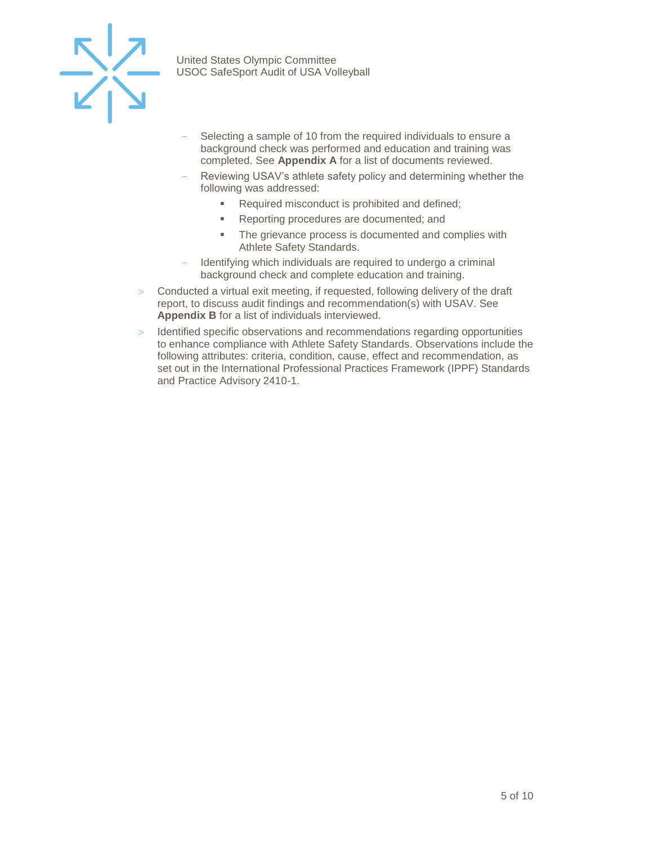

- Selecting a sample of 10 from the required individuals to ensure a background check was performed and education and training was completed. See **Appendix A** for a list of documents reviewed.
- Reviewing USAV's athlete safety policy and determining whether the following was addressed:
	- Required misconduct is prohibited and defined;
	- Reporting procedures are documented; and
	- **The grievance process is documented and complies with** Athlete Safety Standards.
- Identifying which individuals are required to undergo a criminal background check and complete education and training.
- $>$  Conducted a virtual exit meeting, if requested, following delivery of the draft report, to discuss audit findings and recommendation(s) with USAV. See **Appendix B** for a list of individuals interviewed.
- $>$  Identified specific observations and recommendations regarding opportunities to enhance compliance with Athlete Safety Standards. Observations include the following attributes: criteria, condition, cause, effect and recommendation, as set out in the International Professional Practices Framework (IPPF) Standards and Practice Advisory 2410-1.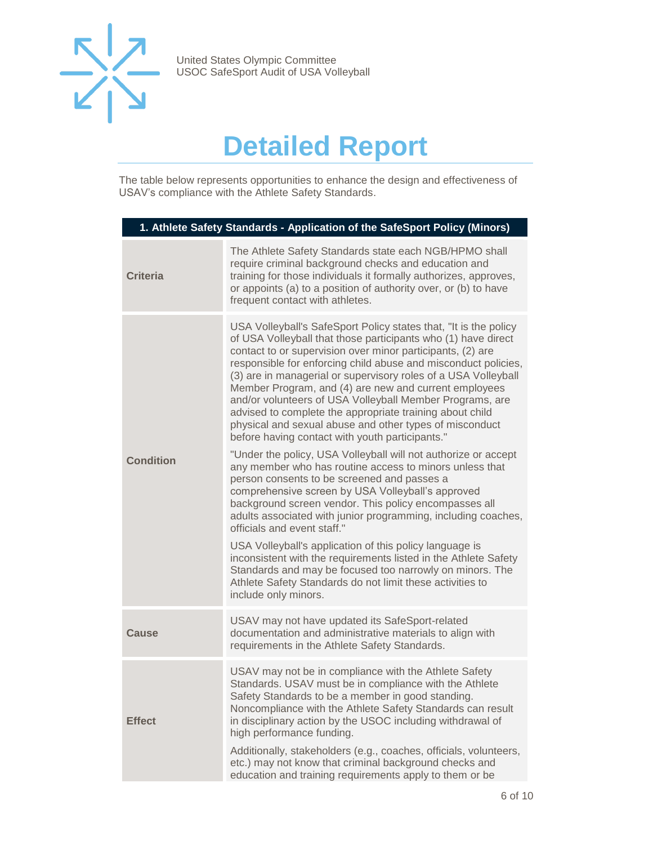

## **Detailed Report**

<span id="page-5-0"></span>The table below represents opportunities to enhance the design and effectiveness of USAV's compliance with the Athlete Safety Standards.

| 1. Athlete Safety Standards - Application of the SafeSport Policy (Minors) |                                                                                                                                                                                                                                                                                                                                                                                                                                                                                                                                                                                                                                                                                                      |  |
|----------------------------------------------------------------------------|------------------------------------------------------------------------------------------------------------------------------------------------------------------------------------------------------------------------------------------------------------------------------------------------------------------------------------------------------------------------------------------------------------------------------------------------------------------------------------------------------------------------------------------------------------------------------------------------------------------------------------------------------------------------------------------------------|--|
| <b>Criteria</b>                                                            | The Athlete Safety Standards state each NGB/HPMO shall<br>require criminal background checks and education and<br>training for those individuals it formally authorizes, approves,<br>or appoints (a) to a position of authority over, or (b) to have<br>frequent contact with athletes.                                                                                                                                                                                                                                                                                                                                                                                                             |  |
| <b>Condition</b>                                                           | USA Volleyball's SafeSport Policy states that, "It is the policy<br>of USA Volleyball that those participants who (1) have direct<br>contact to or supervision over minor participants, (2) are<br>responsible for enforcing child abuse and misconduct policies,<br>(3) are in managerial or supervisory roles of a USA Volleyball<br>Member Program, and (4) are new and current employees<br>and/or volunteers of USA Volleyball Member Programs, are<br>advised to complete the appropriate training about child<br>physical and sexual abuse and other types of misconduct<br>before having contact with youth participants."<br>"Under the policy, USA Volleyball will not authorize or accept |  |
|                                                                            | any member who has routine access to minors unless that<br>person consents to be screened and passes a<br>comprehensive screen by USA Volleyball's approved<br>background screen vendor. This policy encompasses all<br>adults associated with junior programming, including coaches,<br>officials and event staff."                                                                                                                                                                                                                                                                                                                                                                                 |  |
|                                                                            | USA Volleyball's application of this policy language is<br>inconsistent with the requirements listed in the Athlete Safety<br>Standards and may be focused too narrowly on minors. The<br>Athlete Safety Standards do not limit these activities to<br>include only minors.                                                                                                                                                                                                                                                                                                                                                                                                                          |  |
| <b>Cause</b>                                                               | USAV may not have updated its SafeSport-related<br>documentation and administrative materials to align with<br>requirements in the Athlete Safety Standards.                                                                                                                                                                                                                                                                                                                                                                                                                                                                                                                                         |  |
| <b>Effect</b>                                                              | USAV may not be in compliance with the Athlete Safety<br>Standards. USAV must be in compliance with the Athlete<br>Safety Standards to be a member in good standing.<br>Noncompliance with the Athlete Safety Standards can result<br>in disciplinary action by the USOC including withdrawal of<br>high performance funding.                                                                                                                                                                                                                                                                                                                                                                        |  |
|                                                                            | Additionally, stakeholders (e.g., coaches, officials, volunteers,<br>etc.) may not know that criminal background checks and<br>education and training requirements apply to them or be                                                                                                                                                                                                                                                                                                                                                                                                                                                                                                               |  |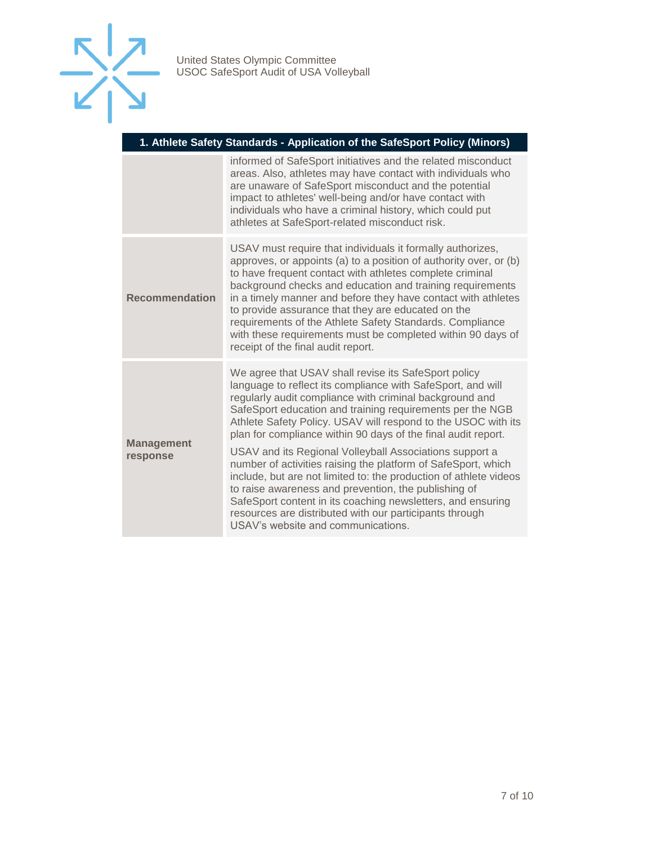

| 1. Athlete Safety Standards - Application of the SafeSport Policy (Minors) |                                                                                                                                                                                                                                                                                                                                                                                                                                                                                                                                                                                                                                                                                                                                                                                                        |  |
|----------------------------------------------------------------------------|--------------------------------------------------------------------------------------------------------------------------------------------------------------------------------------------------------------------------------------------------------------------------------------------------------------------------------------------------------------------------------------------------------------------------------------------------------------------------------------------------------------------------------------------------------------------------------------------------------------------------------------------------------------------------------------------------------------------------------------------------------------------------------------------------------|--|
|                                                                            | informed of SafeSport initiatives and the related misconduct<br>areas. Also, athletes may have contact with individuals who<br>are unaware of SafeSport misconduct and the potential<br>impact to athletes' well-being and/or have contact with<br>individuals who have a criminal history, which could put<br>athletes at SafeSport-related misconduct risk.                                                                                                                                                                                                                                                                                                                                                                                                                                          |  |
| <b>Recommendation</b>                                                      | USAV must require that individuals it formally authorizes,<br>approves, or appoints (a) to a position of authority over, or (b)<br>to have frequent contact with athletes complete criminal<br>background checks and education and training requirements<br>in a timely manner and before they have contact with athletes<br>to provide assurance that they are educated on the<br>requirements of the Athlete Safety Standards. Compliance<br>with these requirements must be completed within 90 days of<br>receipt of the final audit report.                                                                                                                                                                                                                                                       |  |
| <b>Management</b><br>response                                              | We agree that USAV shall revise its SafeSport policy<br>language to reflect its compliance with SafeSport, and will<br>regularly audit compliance with criminal background and<br>SafeSport education and training requirements per the NGB<br>Athlete Safety Policy. USAV will respond to the USOC with its<br>plan for compliance within 90 days of the final audit report.<br>USAV and its Regional Volleyball Associations support a<br>number of activities raising the platform of SafeSport, which<br>include, but are not limited to: the production of athlete videos<br>to raise awareness and prevention, the publishing of<br>SafeSport content in its coaching newsletters, and ensuring<br>resources are distributed with our participants through<br>USAV's website and communications. |  |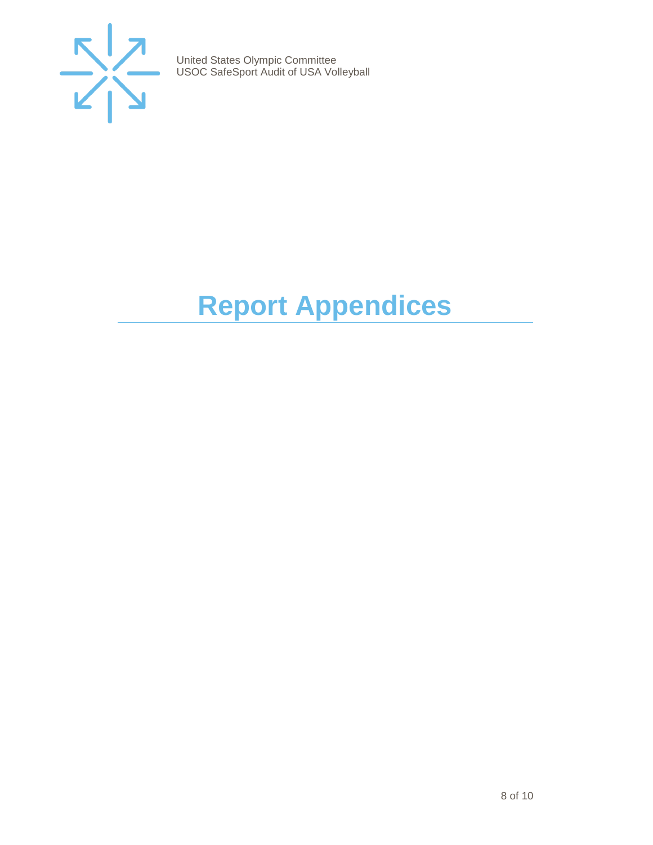

# <span id="page-7-0"></span>**Report Appendices**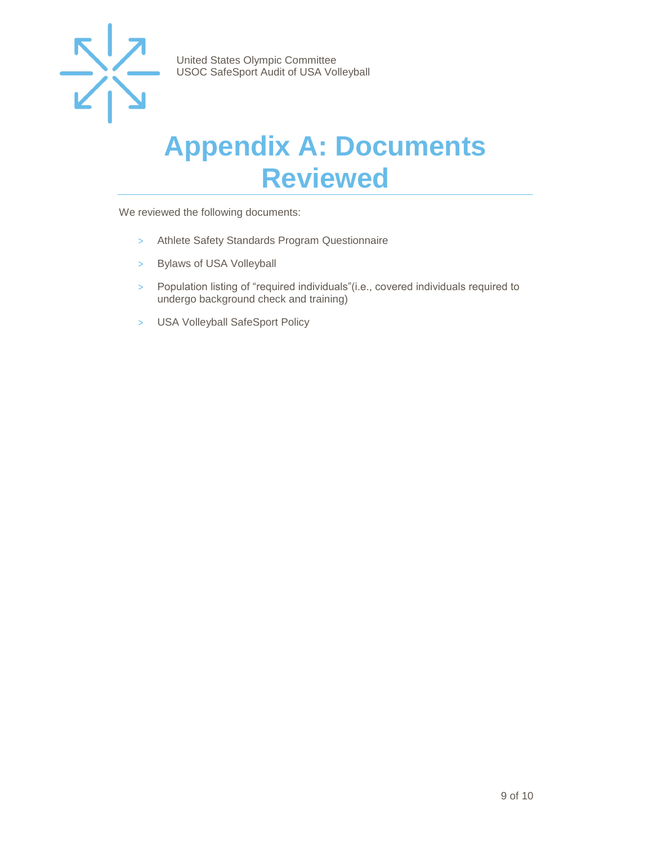

### <span id="page-8-0"></span>**Appendix A: Documents Reviewed**

We reviewed the following documents:

- > Athlete Safety Standards Program Questionnaire
- > Bylaws of USA Volleyball
- > Population listing of "required individuals"(i.e., covered individuals required to undergo background check and training)
- > USA Volleyball SafeSport Policy